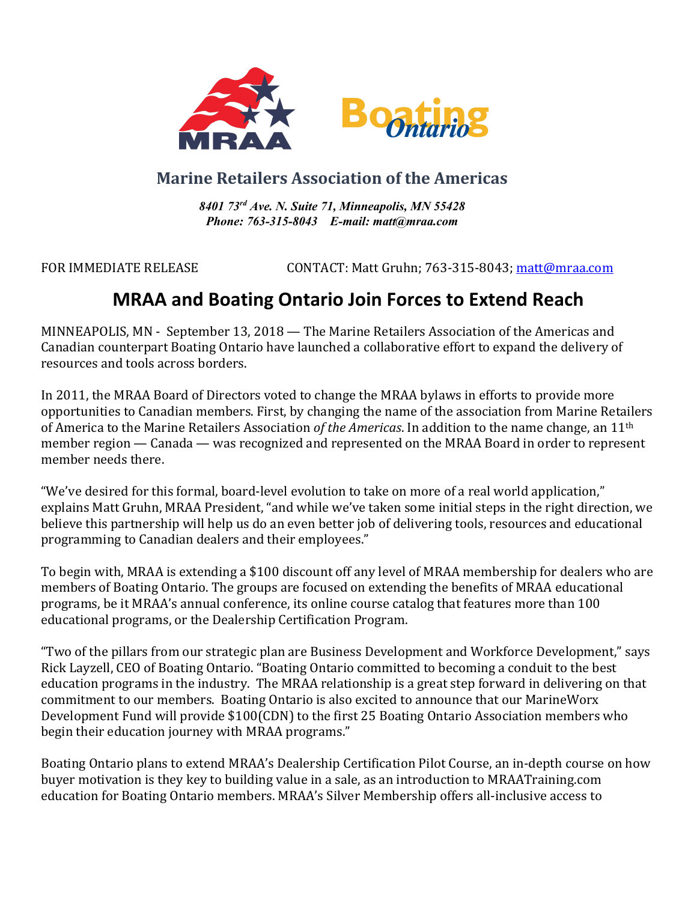

## **Marine Retailers Association of the Americas**

*8401 73rd Ave. N. Suite 71, Minneapolis, MN 55428 Phone: 763-315-8043 E-mail: matt@mraa.com*

FOR IMMEDIATE RELEASE CONTACT: Matt Gruhn; 763-315-8043; matt@mraa.com

## **MRAA and Boating Ontario Join Forces to Extend Reach**

MINNEAPOLIS, MN - September 13, 2018 — The Marine Retailers Association of the Americas and Canadian counterpart Boating Ontario have launched a collaborative effort to expand the delivery of resources and tools across borders.

In 2011, the MRAA Board of Directors voted to change the MRAA bylaws in efforts to provide more opportunities to Canadian members. First, by changing the name of the association from Marine Retailers of America to the Marine Retailers Association of the Americas. In addition to the name change, an 11<sup>th</sup> member region — Canada — was recognized and represented on the MRAA Board in order to represent member needs there.

"We've desired for this formal, board-level evolution to take on more of a real world application," explains Matt Gruhn, MRAA President, "and while we've taken some initial steps in the right direction, we believe this partnership will help us do an even better job of delivering tools, resources and educational programming to Canadian dealers and their employees."

To begin with, MRAA is extending a \$100 discount off any level of MRAA membership for dealers who are members of Boating Ontario. The groups are focused on extending the benefits of MRAA educational programs, be it MRAA's annual conference, its online course catalog that features more than 100 educational programs, or the Dealership Certification Program.

"Two of the pillars from our strategic plan are Business Development and Workforce Development," says Rick Layzell, CEO of Boating Ontario. "Boating Ontario committed to becoming a conduit to the best education programs in the industry. The MRAA relationship is a great step forward in delivering on that commitment to our members. Boating Ontario is also excited to announce that our MarineWorx Development Fund will provide \$100(CDN) to the first 25 Boating Ontario Association members who begin their education journey with MRAA programs."

Boating Ontario plans to extend MRAA's Dealership Certification Pilot Course, an in-depth course on how buyer motivation is they key to building value in a sale, as an introduction to MRAATraining.com education for Boating Ontario members. MRAA's Silver Membership offers all-inclusive access to